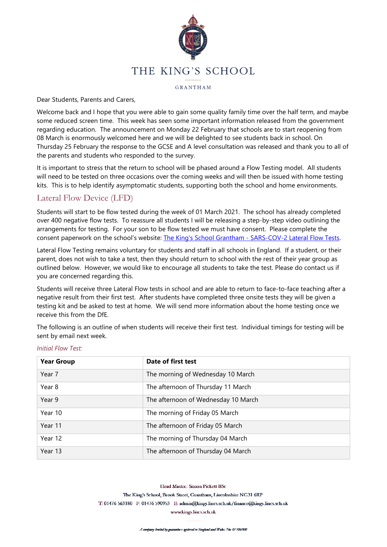

#### GRANTHAM

#### Dear Students, Parents and Carers,

Welcome back and I hope that you were able to gain some quality family time over the half term, and maybe some reduced screen time. This week has seen some important information released from the government regarding education. The announcement on Monday 22 February that schools are to start reopening from 08 March is enormously welcomed here and we will be delighted to see students back in school. On Thursday 25 February the response to the GCSE and A level consultation was released and thank you to all of the parents and students who responded to the survey.

It is important to stress that the return to school will be phased around a Flow Testing model. All students will need to be tested on three occasions over the coming weeks and will then be issued with home testing kits. This is to help identify asymptomatic students, supporting both the school and home environments.

## Lateral Flow Device (LFD)

Students will start to be flow tested during the week of 01 March 2021. The school has already completed over 400 negative flow tests. To reassure all students I will be releasing a step-by-step video outlining the arrangements for testing. For your son to be flow tested we must have consent. Please complete the consent paperwork on the school's website: The King's School Grantham - [SARS-COV-2 Lateral Flow Tests.](https://www.kings.lincs.sch.uk/lateralflow)

Lateral Flow Testing remains voluntary for students and staff in all schools in England. If a student, or their parent, does not wish to take a test, then they should return to school with the rest of their year group as outlined below. However, we would like to encourage all students to take the test. Please do contact us if you are concerned regarding this.

Students will receive three Lateral Flow tests in school and are able to return to face-to-face teaching after a negative result from their first test. After students have completed three onsite tests they will be given a testing kit and be asked to test at home. We will send more information about the home testing once we receive this from the DfE.

The following is an outline of when students will receive their first test. Individual timings for testing will be sent by email next week.

| <b>Year Group</b> | Date of first test                  |
|-------------------|-------------------------------------|
| Year 7            | The morning of Wednesday 10 March   |
| Year 8            | The afternoon of Thursday 11 March  |
| Year 9            | The afternoon of Wednesday 10 March |
| Year 10           | The morning of Friday 05 March      |
| Year 11           | The afternoon of Friday 05 March    |
| Year 12           | The morning of Thursday 04 March    |
| Year 13           | The afternoon of Thursday 04 March  |

#### *Initial Flow Test:*

Head Master: Simon Pickett BSc

The King's School, Brook Street, Grantham, Lincolnshire NG31 6RP

T: 01476 563180 F: 01476 590953 E: admin@kings.lincs.sch.uk/finance@kings.lincs.sch.uk

www.kings.lincs.sch.uk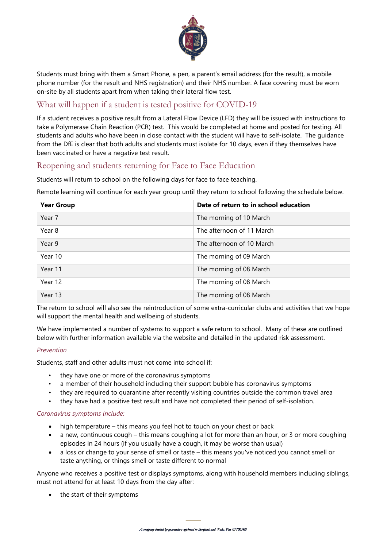

Students must bring with them a Smart Phone, a pen, a parent's email address (for the result), a mobile phone number (for the result and NHS registration) and their NHS number. A face covering must be worn on-site by all students apart from when taking their lateral flow test.

# What will happen if a student is tested positive for COVID-19

If a student receives a positive result from a Lateral Flow Device (LFD) they will be issued with instructions to take a Polymerase Chain Reaction (PCR) test. This would be completed at home and posted for testing. All students and adults who have been in close contact with the student will have to self-isolate. The guidance from the DfE is clear that both adults and students must isolate for 10 days, even if they themselves have been vaccinated or have a negative test result.

## Reopening and students returning for Face to Face Education

Students will return to school on the following days for face to face teaching.

Remote learning will continue for each year group until they return to school following the schedule below.

| <b>Year Group</b> | Date of return to in school education |
|-------------------|---------------------------------------|
| Year 7            | The morning of 10 March               |
| Year 8            | The afternoon of 11 March             |
| Year 9            | The afternoon of 10 March             |
| Year 10           | The morning of 09 March               |
| Year 11           | The morning of 08 March               |
| Year 12           | The morning of 08 March               |
| Year 13           | The morning of 08 March               |

The return to school will also see the reintroduction of some extra-curricular clubs and activities that we hope will support the mental health and wellbeing of students.

We have implemented a number of systems to support a safe return to school. Many of these are outlined below with further information available via the website and detailed in the updated risk assessment.

#### *Prevention*

Students, staff and other adults must not come into school if:

- they have one or more of the coronavirus symptoms
- a member of their household including their support bubble has coronavirus symptoms
- they are required to quarantine after recently visiting countries outside the common travel area
- they have had a positive test result and have not completed their period of self-isolation.

#### *Coronavirus symptoms include:*

- high temperature this means you feel hot to touch on your chest or back
- a new, continuous cough this means coughing a lot for more than an hour, or 3 or more coughing episodes in 24 hours (if you usually have a cough, it may be worse than usual)
- a loss or change to your sense of smell or taste this means you've noticed you cannot smell or taste anything, or things smell or taste different to normal

Anyone who receives a positive test or displays symptoms, along with household members including siblings, must not attend for at least 10 days from the day after:

• the start of their symptoms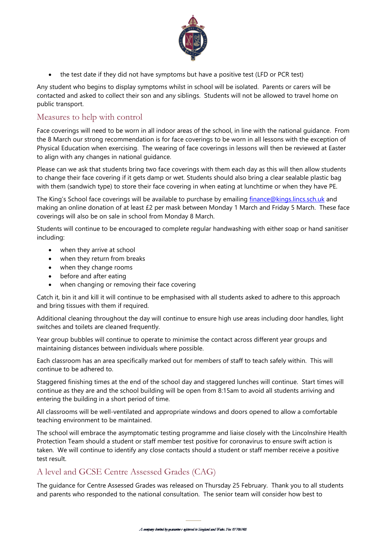

• the test date if they did not have symptoms but have a positive test (LFD or PCR test)

Any student who begins to display symptoms whilst in school will be isolated. Parents or carers will be contacted and asked to collect their son and any siblings. Students will not be allowed to travel home on public transport.

## Measures to help with control

Face coverings will need to be worn in all indoor areas of the school, in line with the national guidance. From the 8 March our strong recommendation is for face coverings to be worn in all lessons with the exception of Physical Education when exercising. The wearing of face coverings in lessons will then be reviewed at Easter to align with any changes in national guidance.

Please can we ask that students bring two face coverings with them each day as this will then allow students to change their face covering if it gets damp or wet. Students should also bring a clear sealable plastic bag with them (sandwich type) to store their face covering in when eating at lunchtime or when they have PE.

The King's School face coverings will be available to purchase by emailing [finance@kings.lincs.sch.uk](mailto:finance@kings.lincs.sch.uk) and making an online donation of at least £2 per mask between Monday 1 March and Friday 5 March. These face coverings will also be on sale in school from Monday 8 March.

Students will continue to be encouraged to complete regular handwashing with either soap or hand sanitiser including:

- when they arrive at school
- when they return from breaks
- when they change rooms
- before and after eating
- when changing or removing their face covering

Catch it, bin it and kill it will continue to be emphasised with all students asked to adhere to this approach and bring tissues with them if required.

Additional cleaning throughout the day will continue to ensure high use areas including door handles, light switches and toilets are cleaned frequently.

Year group bubbles will continue to operate to minimise the contact across different year groups and maintaining distances between individuals where possible.

Each classroom has an area specifically marked out for members of staff to teach safely within. This will continue to be adhered to.

Staggered finishing times at the end of the school day and staggered lunches will continue. Start times will continue as they are and the school building will be open from 8:15am to avoid all students arriving and entering the building in a short period of time.

All classrooms will be well-ventilated and appropriate windows and doors opened to allow a comfortable teaching environment to be maintained.

The school will embrace the asymptomatic testing programme and liaise closely with the Lincolnshire Health Protection Team should a student or staff member test positive for coronavirus to ensure swift action is taken. We will continue to identify any close contacts should a student or staff member receive a positive test result.

## A level and GCSE Centre Assessed Grades (CAG)

The guidance for Centre Assessed Grades was released on Thursday 25 February. Thank you to all students and parents who responded to the national consultation. The senior team will consider how best to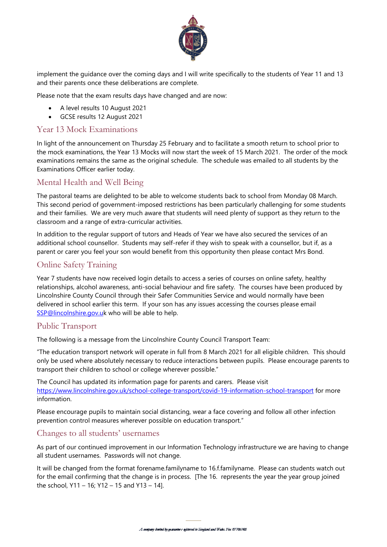

implement the guidance over the coming days and I will write specifically to the students of Year 11 and 13 and their parents once these deliberations are complete.

Please note that the exam results days have changed and are now:

- A level results 10 August 2021
- GCSE results 12 August 2021

### Year 13 Mock Examinations

In light of the announcement on Thursday 25 February and to facilitate a smooth return to school prior to the mock examinations, the Year 13 Mocks will now start the week of 15 March 2021. The order of the mock examinations remains the same as the original schedule. The schedule was emailed to all students by the Examinations Officer earlier today.

### Mental Health and Well Being

The pastoral teams are delighted to be able to welcome students back to school from Monday 08 March. This second period of government-imposed restrictions has been particularly challenging for some students and their families. We are very much aware that students will need plenty of support as they return to the classroom and a range of extra-curricular activities.

In addition to the regular support of tutors and Heads of Year we have also secured the services of an additional school counsellor. Students may self-refer if they wish to speak with a counsellor, but if, as a parent or carer you feel your son would benefit from this opportunity then please contact Mrs Bond.

## Online Safety Training

Year 7 students have now received login details to access a series of courses on online safety, healthy relationships, alcohol awareness, anti-social behaviour and fire safety. The courses have been produced by Lincolnshire County Council through their Safer Communities Service and would normally have been delivered in school earlier this term. If your son has any issues accessing the courses please email [SSP@lincolnshire.gov.uk](mailto:SSP@lincolnshire.gov.uk) who will be able to help.

### Public Transport

The following is a message from the Lincolnshire County Council Transport Team:

"The education transport network will operate in full from 8 March 2021 for all eligible children. This should only be used where absolutely necessary to reduce interactions between pupils. Please encourage parents to transport their children to school or college wherever possible."

The Council has updated its information page for parents and carers. Please visit <https://www.lincolnshire.gov.uk/school-college-transport/covid-19-information-school-transport> for more information.

Please encourage pupils to maintain social distancing, wear a face covering and follow all other infection prevention control measures wherever possible on education transport."

### Changes to all students' usernames

As part of our continued improvement in our Information Technology infrastructure we are having to change all student usernames. Passwords will not change.

It will be changed from the format forename.familyname to 16.f.familyname. Please can students watch out for the email confirming that the change is in process. [The 16. represents the year the year group joined the school, Y11 – 16; Y12 – 15 and Y13 – 14].